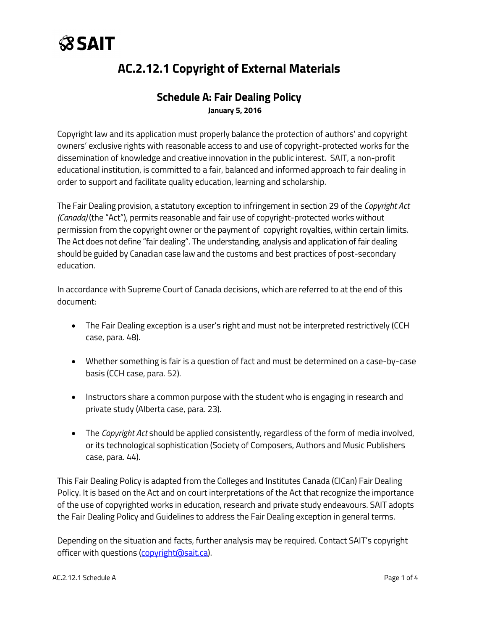# **SSAIT**

### **AC.2.12.1 Copyright of External Materials**

#### **Schedule A: Fair Dealing Policy January 5, 2016**

Copyright law and its application must properly balance the protection of authors' and copyright owners' exclusive rights with reasonable access to and use of copyright-protected works for the dissemination of knowledge and creative innovation in the public interest. SAIT, a non-profit educational institution, is committed to a fair, balanced and informed approach to fair dealing in order to support and facilitate quality education, learning and scholarship.

The Fair Dealing provision, a statutory exception to infringement in section 29 of the *Copyright Act (Canada)* (the "Act"), permits reasonable and fair use of copyright-protected works without permission from the copyright owner or the payment of copyright royalties, within certain limits. The Act does not define "fair dealing". The understanding, analysis and application of fair dealing should be guided by Canadian case law and the customs and best practices of post-secondary education.

In accordance with Supreme Court of Canada decisions, which are referred to at the end of this document:

- The Fair Dealing exception is a user's right and must not be interpreted restrictively (CCH case, para. 48).
- Whether something is fair is a question of fact and must be determined on a case-by-case basis (CCH case, para. 52).
- Instructors share a common purpose with the student who is engaging in research and private study (Alberta case, para. 23).
- The *Copyright Act* should be applied consistently, regardless of the form of media involved, or its technological sophistication (Society of Composers, Authors and Music Publishers case, para. 44).

This Fair Dealing Policy is adapted from the Colleges and Institutes Canada (CICan) Fair Dealing Policy. It is based on the Act and on court interpretations of the Act that recognize the importance of the use of copyrighted works in education, research and private study endeavours. SAIT adopts the Fair Dealing Policy and Guidelines to address the Fair Dealing exception in general terms.

Depending on the situation and facts, further analysis may be required. Contact SAIT's copyright officer with questions [\(copyright@sait.ca\)](mailto:copyright@sait.ca).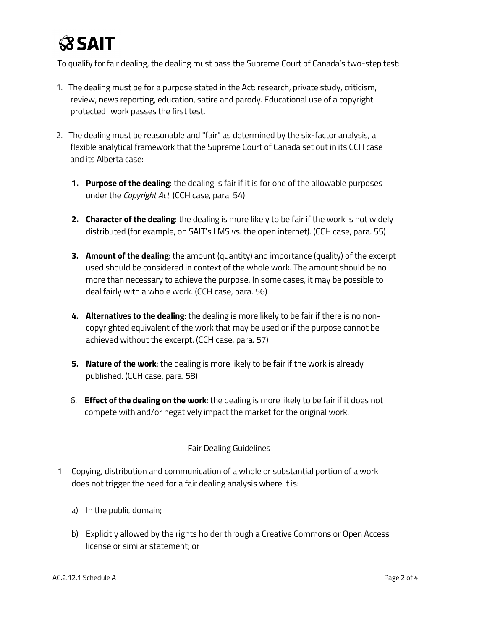# **SSAIT**

To qualify for fair dealing, the dealing must pass the Supreme Court of Canada's two-step test:

- 1. The dealing must be for a purpose stated in the Act: research, private study, criticism, review, news reporting, education, satire and parody. Educational use of a copyrightprotected work passes the first test.
- 2. The dealing must be reasonable and "fair" as determined by the six-factor analysis, a flexible analytical framework that the Supreme Court of Canada set out in its CCH case and its Alberta case:
	- **1. Purpose of the dealing**: the dealing is fair if it is for one of the allowable purposes under the *Copyright Act.* (CCH case, para. 54)
	- **2. Character of the dealing**: the dealing is more likely to be fair if the work is not widely distributed (for example, on SAIT's LMS vs. the open internet). (CCH case, para. 55)
	- **3. Amount of the dealing**: the amount (quantity) and importance (quality) of the excerpt used should be considered in context of the whole work. The amount should be no more than necessary to achieve the purpose. In some cases, it may be possible to deal fairly with a whole work. (CCH case, para. 56)
	- **4. Alternatives to the dealing**: the dealing is more likely to be fair if there is no noncopyrighted equivalent of the work that may be used or if the purpose cannot be achieved without the excerpt. (CCH case, para. 57)
	- **5. Nature of the work**: the dealing is more likely to be fair if the work is already published. (CCH case, para. 58)
	- 6. **Effect of the dealing on the work**: the dealing is more likely to be fair if it does not compete with and/or negatively impact the market for the original work.

#### Fair Dealing Guidelines

- 1. Copying, distribution and communication of a whole or substantial portion of a work does not trigger the need for a fair dealing analysis where it is:
	- a) In the public domain;
	- b) Explicitly allowed by the rights holder through a Creative Commons or Open Access license or similar statement; or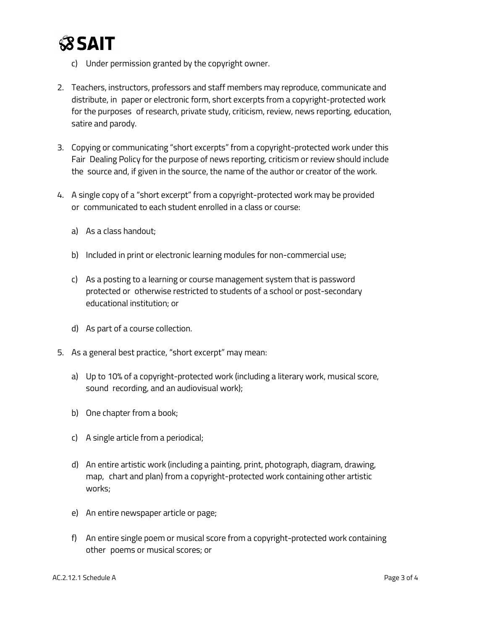### **SSAIT**

- c) Under permission granted by the copyright owner.
- 2. Teachers, instructors, professors and staff members may reproduce, communicate and distribute, in paper or electronic form, short excerpts from a copyright-protected work for the purposes of research, private study, criticism, review, news reporting, education, satire and parody.
- 3. Copying or communicating "short excerpts" from a copyright-protected work under this Fair Dealing Policy for the purpose of news reporting, criticism or review should include the source and, if given in the source, the name of the author or creator of the work.
- 4. A single copy of a "short excerpt" from a copyright-protected work may be provided or communicated to each student enrolled in a class or course:
	- a) As a class handout;
	- b) Included in print or electronic learning modules for non-commercial use;
	- c) As a posting to a learning or course management system that is password protected or otherwise restricted to students of a school or post-secondary educational institution; or
	- d) As part of a course collection.
- 5. As a general best practice, "short excerpt" may mean:
	- a) Up to 10% of a copyright-protected work (including a literary work, musical score, sound recording, and an audiovisual work);
	- b) One chapter from a book;
	- c) A single article from a periodical;
	- d) An entire artistic work (including a painting, print, photograph, diagram, drawing, map, chart and plan) from a copyright-protected work containing other artistic works;
	- e) An entire newspaper article or page;
	- f) An entire single poem or musical score from a copyright-protected work containing other poems or musical scores; or